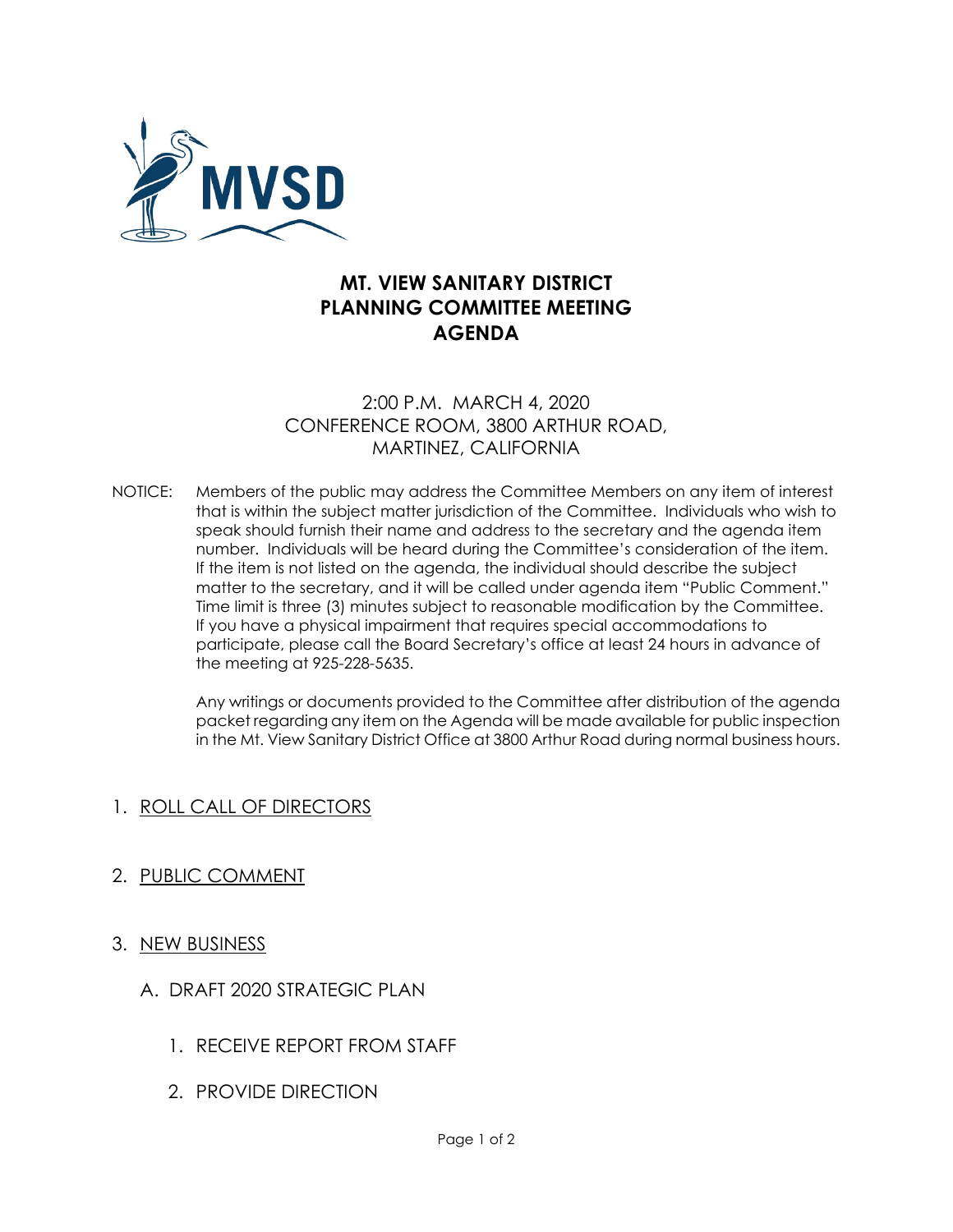

# **MT. VIEW SANITARY DISTRICT PLANNING COMMITTEE MEETING AGENDA**

## 2:00 P.M. MARCH 4, 2020 CONFERENCE ROOM, 3800 ARTHUR ROAD, MARTINEZ, CALIFORNIA

NOTICE: Members of the public may address the Committee Members on any item of interest that is within the subject matter jurisdiction of the Committee. Individuals who wish to speak should furnish their name and address to the secretary and the agenda item number. Individuals will be heard during the Committee's consideration of the item. If the item is not listed on the agenda, the individual should describe the subject matter to the secretary, and it will be called under agenda item "Public Comment." Time limit is three (3) minutes subject to reasonable modification by the Committee. If you have a physical impairment that requires special accommodations to participate, please call the Board Secretary's office at least 24 hours in advance of the meeting at 925-228-5635.

> Any writings or documents provided to the Committee after distribution of the agenda packet regarding any item on the Agenda will be made available for public inspection in the Mt. View Sanitary District Office at 3800 Arthur Road during normal business hours.

## 1. ROLL CALL OF DIRECTORS

## 2. PUBLIC COMMENT

- 3. NEW BUSINESS
	- A. DRAFT 2020 STRATEGIC PLAN
		- 1. RECEIVE REPORT FROM STAFF
		- 2. PROVIDE DIRECTION